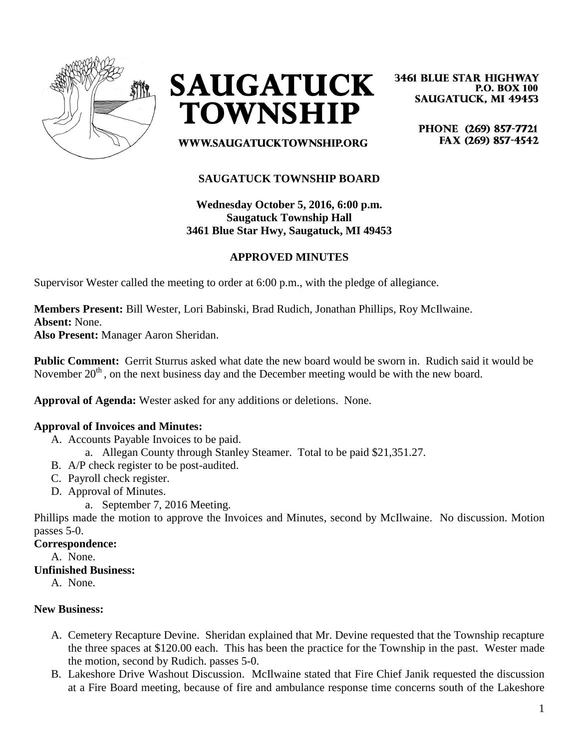



**3461 BLUE STAR HIGHWAY P.O. BOX 100 SAUGATUCK, MI 49453** 

> PHONE (269) 857-7721 FAX (269) 857-4542

**WWW.SAUGATUCKTOWNSHIP.ORG** 

# **SAUGATUCK TOWNSHIP BOARD**

# **Wednesday October 5, 2016, 6:00 p.m. Saugatuck Township Hall 3461 Blue Star Hwy, Saugatuck, MI 49453**

# **APPROVED MINUTES**

Supervisor Wester called the meeting to order at 6:00 p.m., with the pledge of allegiance.

**Members Present:** Bill Wester, Lori Babinski, Brad Rudich, Jonathan Phillips, Roy McIlwaine. **Absent:** None.

**Also Present:** Manager Aaron Sheridan.

**Public Comment:** Gerrit Sturrus asked what date the new board would be sworn in. Rudich said it would be November  $20<sup>th</sup>$ , on the next business day and the December meeting would be with the new board.

**Approval of Agenda:** Wester asked for any additions or deletions. None.

### **Approval of Invoices and Minutes:**

- A. Accounts Payable Invoices to be paid.
	- a. Allegan County through Stanley Steamer. Total to be paid \$21,351.27.
- B. A/P check register to be post-audited.
- C. Payroll check register.
- D. Approval of Minutes.
	- a. September 7, 2016 Meeting.

Phillips made the motion to approve the Invoices and Minutes, second by McIlwaine. No discussion. Motion passes 5-0.

#### **Correspondence:**

A. None.

#### **Unfinished Business:**

A. None.

### **New Business:**

- A. Cemetery Recapture Devine. Sheridan explained that Mr. Devine requested that the Township recapture the three spaces at \$120.00 each. This has been the practice for the Township in the past. Wester made the motion, second by Rudich. passes 5-0.
- B. Lakeshore Drive Washout Discussion. McIlwaine stated that Fire Chief Janik requested the discussion at a Fire Board meeting, because of fire and ambulance response time concerns south of the Lakeshore